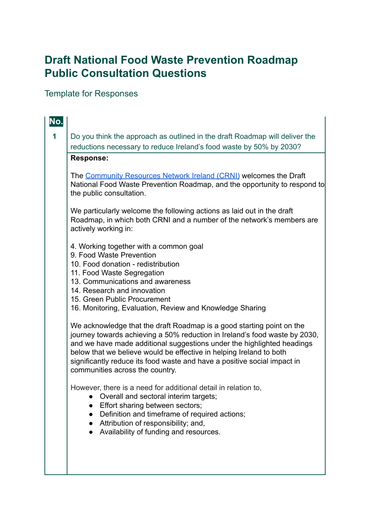# **Draft National Food Waste Prevention Roadmap Public Consultation Questions**

# Template for Responses

| No. |                                                                                                                                                                                                                                                                                                                                                                                                                     |
|-----|---------------------------------------------------------------------------------------------------------------------------------------------------------------------------------------------------------------------------------------------------------------------------------------------------------------------------------------------------------------------------------------------------------------------|
| 1   | Do you think the approach as outlined in the draft Roadmap will deliver the<br>reductions necessary to reduce Ireland's food waste by 50% by 2030?                                                                                                                                                                                                                                                                  |
|     | <b>Response:</b>                                                                                                                                                                                                                                                                                                                                                                                                    |
|     | The Community Resources Network Ireland (CRNI) welcomes the Draft<br>National Food Waste Prevention Roadmap, and the opportunity to respond to<br>the public consultation.                                                                                                                                                                                                                                          |
|     | We particularly welcome the following actions as laid out in the draft<br>Roadmap, in which both CRNI and a number of the network's members are<br>actively working in:                                                                                                                                                                                                                                             |
|     | 4. Working together with a common goal<br>9. Food Waste Prevention<br>10. Food donation - redistribution<br>11. Food Waste Segregation<br>13. Communications and awareness<br>14. Research and innovation<br>15. Green Public Procurement<br>16. Monitoring, Evaluation, Review and Knowledge Sharing                                                                                                               |
|     |                                                                                                                                                                                                                                                                                                                                                                                                                     |
|     | We acknowledge that the draft Roadmap is a good starting point on the<br>journey towards achieving a 50% reduction in Ireland's food waste by 2030,<br>and we have made additional suggestions under the highlighted headings<br>below that we believe would be effective in helping Ireland to both<br>significantly reduce its food waste and have a positive social impact in<br>communities across the country. |
|     | However, there is a need for additional detail in relation to,<br>Overall and sectoral interim targets;<br>Effort sharing between sectors;<br>Definition and timeframe of required actions;<br>Attribution of responsibility; and,<br>Availability of funding and resources.                                                                                                                                        |
|     |                                                                                                                                                                                                                                                                                                                                                                                                                     |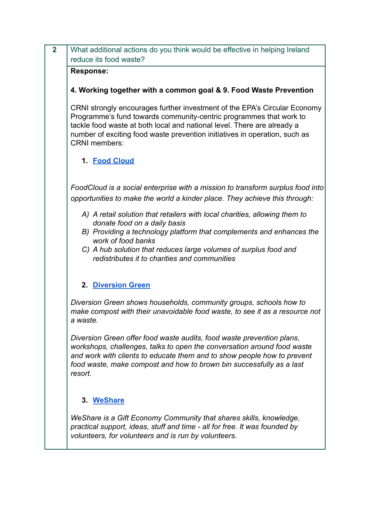| $\overline{2}$ | What additional actions do you think would be effective in helping Ireland<br>reduce its food waste?                                                                                                                                                                                                                             |
|----------------|----------------------------------------------------------------------------------------------------------------------------------------------------------------------------------------------------------------------------------------------------------------------------------------------------------------------------------|
|                | <b>Response:</b>                                                                                                                                                                                                                                                                                                                 |
|                | 4. Working together with a common goal & 9. Food Waste Prevention                                                                                                                                                                                                                                                                |
|                | CRNI strongly encourages further investment of the EPA's Circular Economy<br>Programme's fund towards community-centric programmes that work to<br>tackle food waste at both local and national level. There are already a<br>number of exciting food waste prevention initiatives in operation, such as<br><b>CRNI</b> members: |
|                | 1. Food Cloud                                                                                                                                                                                                                                                                                                                    |
|                | FoodCloud is a social enterprise with a mission to transform surplus food into<br>opportunities to make the world a kinder place. They achieve this through:                                                                                                                                                                     |
|                | A) A retail solution that retailers with local charities, allowing them to<br>donate food on a daily basis<br>B) Providing a technology platform that complements and enhances the<br>work of food banks                                                                                                                         |
|                | C) A hub solution that reduces large volumes of surplus food and<br>redistributes it to charities and communities                                                                                                                                                                                                                |
|                | <b>2. Diversion Green</b>                                                                                                                                                                                                                                                                                                        |
|                | Diversion Green shows households, community groups, schools how to<br>make compost with their unavoidable food waste, to see it as a resource not<br>a waste.                                                                                                                                                                    |
|                | Diversion Green offer food waste audits, food waste prevention plans,<br>workshops, challenges, talks to open the conversation around food waste<br>and work with clients to educate them and to show people how to prevent<br>food waste, make compost and how to brown bin successfully as a last<br>resort.                   |
|                | 3. WeShare                                                                                                                                                                                                                                                                                                                       |
|                | We Share is a Gift Economy Community that shares skills, knowledge,<br>practical support, ideas, stuff and time - all for free. It was founded by<br>volunteers, for volunteers and is run by volunteers.                                                                                                                        |
|                |                                                                                                                                                                                                                                                                                                                                  |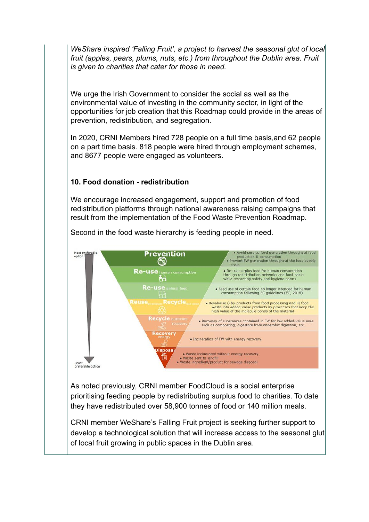*WeShare inspired 'Falling Fruit', a project to harvest the seasonal glut of local fruit (apples, pears, plums, nuts, etc.) from throughout the Dublin area. Fruit is given to charities that cater for those in need.*

We urge the Irish Government to consider the social as well as the environmental value of investing in the community sector, in light of the opportunities for job creation that this Roadmap could provide in the areas of prevention, redistribution, and segregation.

In 2020, CRNI Members hired 728 people on a full time basis,and 62 people on a part time basis. 818 people were hired through employment schemes, and 8677 people were engaged as volunteers.

#### **10. Food donation - redistribution**

We encourage increased engagement, support and promotion of food redistribution platforms through national awareness raising campaigns that result from the implementation of the Food Waste Prevention Roadmap.



Second in the food waste hierarchy is feeding people in need.

As noted previously, CRNI member FoodCloud is a social enterprise prioritising feeding people by redistributing surplus food to charities. To date they have redistributed over 58,900 tonnes of food or 140 million meals.

CRNI member WeShare's Falling Fruit project is seeking further support to develop a technological solution that will increase access to the seasonal glut of local fruit growing in public spaces in the Dublin area.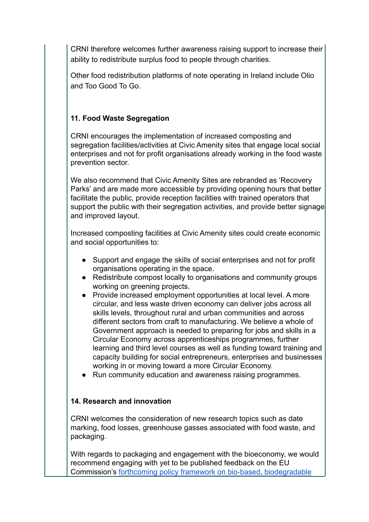CRNI therefore welcomes further awareness raising support to increase their ability to redistribute surplus food to people through charities.

Other food redistribution platforms of note operating in Ireland include Olio and Too Good To Go.

### **11. Food Waste Segregation**

CRNI encourages the implementation of increased composting and segregation facilities/activities at Civic Amenity sites that engage local social enterprises and not for profit organisations already working in the food waste prevention sector.

We also recommend that Civic Amenity Sites are rebranded as 'Recovery Parks' and are made more accessible by providing opening hours that better facilitate the public, provide reception facilities with trained operators that support the public with their segregation activities, and provide better signage and improved layout.

Increased composting facilities at Civic Amenity sites could create economic and social opportunities to:

- Support and engage the skills of social enterprises and not for profit organisations operating in the space.
- Redistribute compost locally to organisations and community groups working on greening projects.
- Provide increased employment opportunities at local level. A more circular, and less waste driven economy can deliver jobs across all skills levels, throughout rural and urban communities and across different sectors from craft to manufacturing. We believe a whole of Government approach is needed to preparing for jobs and skills in a Circular Economy across apprenticeships programmes, further learning and third level courses as well as funding toward training and capacity building for social entrepreneurs, enterprises and businesses working in or moving toward a more Circular Economy.
- Run community education and awareness raising programmes.

#### **14. Research and innovation**

CRNI welcomes the consideration of new research topics such as date marking, food losses, greenhouse gasses associated with food waste, and packaging.

With regards to packaging and engagement with the bioeconomy, we would recommend engaging with yet to be published feedback on the EU Commission's [forthcoming policy framework on bio-based,](https://ec.europa.eu/environment/topics/plastics/bio-based-biodegradable-and-compostable-plastics_en) biodegradable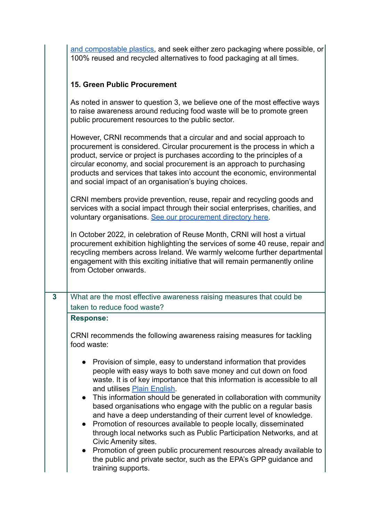| and compostable plastics, and seek either zero packaging where possible, or |  |
|-----------------------------------------------------------------------------|--|
| 100% reused and recycled alternatives to food packaging at all times.       |  |

## **15. Green Public Procurement**

|   | As noted in answer to question 3, we believe one of the most effective ways<br>to raise awareness around reducing food waste will be to promote green<br>public procurement resources to the public sector.                                                                                                                                                                                                                                                                                                                                                                                                                                                                                                                                                                                                                                           |
|---|-------------------------------------------------------------------------------------------------------------------------------------------------------------------------------------------------------------------------------------------------------------------------------------------------------------------------------------------------------------------------------------------------------------------------------------------------------------------------------------------------------------------------------------------------------------------------------------------------------------------------------------------------------------------------------------------------------------------------------------------------------------------------------------------------------------------------------------------------------|
|   | However, CRNI recommends that a circular and and social approach to<br>procurement is considered. Circular procurement is the process in which a<br>product, service or project is purchases according to the principles of a<br>circular economy, and social procurement is an approach to purchasing<br>products and services that takes into account the economic, environmental<br>and social impact of an organisation's buying choices.                                                                                                                                                                                                                                                                                                                                                                                                         |
|   | CRNI members provide prevention, reuse, repair and recycling goods and<br>services with a social impact through their social enterprises, charities, and<br>voluntary organisations. See our procurement directory here.                                                                                                                                                                                                                                                                                                                                                                                                                                                                                                                                                                                                                              |
|   | In October 2022, in celebration of Reuse Month, CRNI will host a virtual<br>procurement exhibition highlighting the services of some 40 reuse, repair and<br>recycling members across Ireland. We warmly welcome further departmental<br>engagement with this exciting initiative that will remain permanently online<br>from October onwards.                                                                                                                                                                                                                                                                                                                                                                                                                                                                                                        |
| 3 | What are the most effective awareness raising measures that could be                                                                                                                                                                                                                                                                                                                                                                                                                                                                                                                                                                                                                                                                                                                                                                                  |
|   | taken to reduce food waste?                                                                                                                                                                                                                                                                                                                                                                                                                                                                                                                                                                                                                                                                                                                                                                                                                           |
|   | <b>Response:</b>                                                                                                                                                                                                                                                                                                                                                                                                                                                                                                                                                                                                                                                                                                                                                                                                                                      |
|   | CRNI recommends the following awareness raising measures for tackling<br>food waste:                                                                                                                                                                                                                                                                                                                                                                                                                                                                                                                                                                                                                                                                                                                                                                  |
|   | Provision of simple, easy to understand information that provides<br>people with easy ways to both save money and cut down on food<br>waste. It is of key importance that this information is accessible to all<br>and utilises Plain English<br>This information should be generated in collaboration with community<br>$\bullet$<br>based organisations who engage with the public on a regular basis<br>and have a deep understanding of their current level of knowledge.<br>Promotion of resources available to people locally, disseminated<br>$\bullet$<br>through local networks such as Public Participation Networks, and at<br><b>Civic Amenity sites.</b><br>Promotion of green public procurement resources already available to<br>$\bullet$<br>the public and private sector, such as the EPA's GPP guidance and<br>training supports. |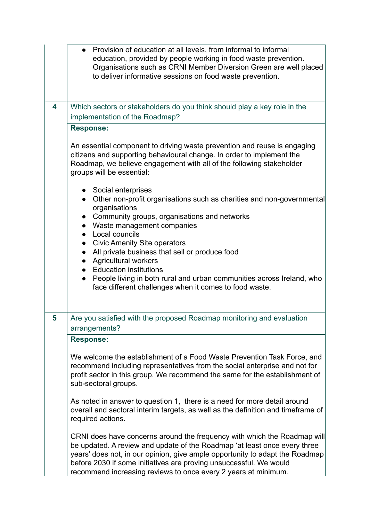|   | Provision of education at all levels, from informal to informal<br>education, provided by people working in food waste prevention.<br>Organisations such as CRNI Member Diversion Green are well placed<br>to deliver informative sessions on food waste prevention.                                                                                                          |
|---|-------------------------------------------------------------------------------------------------------------------------------------------------------------------------------------------------------------------------------------------------------------------------------------------------------------------------------------------------------------------------------|
| 4 | Which sectors or stakeholders do you think should play a key role in the                                                                                                                                                                                                                                                                                                      |
|   | implementation of the Roadmap?                                                                                                                                                                                                                                                                                                                                                |
|   | <b>Response:</b><br>An essential component to driving waste prevention and reuse is engaging<br>citizens and supporting behavioural change. In order to implement the<br>Roadmap, we believe engagement with all of the following stakeholder<br>groups will be essential:                                                                                                    |
|   | • Social enterprises<br>Other non-profit organisations such as charities and non-governmental<br>$\bullet$<br>organisations<br>Community groups, organisations and networks<br>$\bullet$<br>• Waste management companies<br>Local councils                                                                                                                                    |
|   | <b>Civic Amenity Site operators</b><br>$\bullet$<br>All private business that sell or produce food<br>$\bullet$<br><b>Agricultural workers</b><br><b>Education institutions</b>                                                                                                                                                                                               |
|   | People living in both rural and urban communities across Ireland, who<br>face different challenges when it comes to food waste.                                                                                                                                                                                                                                               |
| 5 | Are you satisfied with the proposed Roadmap monitoring and evaluation<br>arrangements?                                                                                                                                                                                                                                                                                        |
|   | <b>Response:</b>                                                                                                                                                                                                                                                                                                                                                              |
|   | We welcome the establishment of a Food Waste Prevention Task Force, and<br>recommend including representatives from the social enterprise and not for<br>profit sector in this group. We recommend the same for the establishment of<br>sub-sectoral groups.                                                                                                                  |
|   | As noted in answer to question 1, there is a need for more detail around<br>overall and sectoral interim targets, as well as the definition and timeframe of<br>required actions.                                                                                                                                                                                             |
|   | CRNI does have concerns around the frequency with which the Roadmap will<br>be updated. A review and update of the Roadmap 'at least once every three<br>years' does not, in our opinion, give ample opportunity to adapt the Roadmap<br>before 2030 if some initiatives are proving unsuccessful. We would<br>recommend increasing reviews to once every 2 years at minimum. |